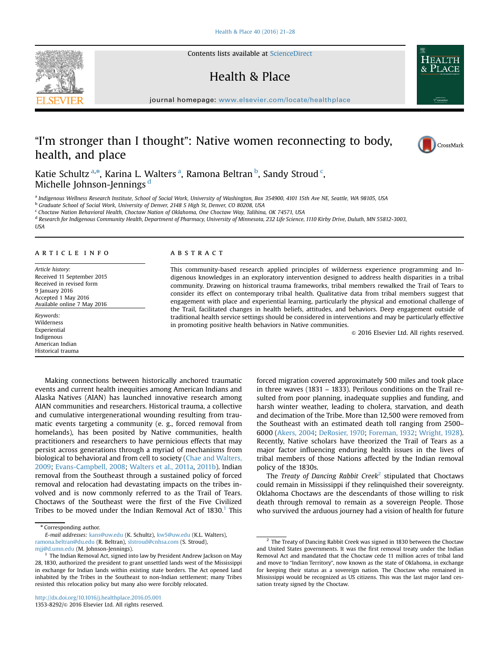Contents lists available at [ScienceDirect](www.sciencedirect.com/science/journal/13538292)

# Health & Place

journal homepage: <www.elsevier.com/locate/healthplace>/healthplace/healthplace/healthplace/healthplace/healthplace/healthplace/healthplace/healthplace/healthplace/healthplace/healthplace/healthplace/healthplace/healthplace

# "I'm stronger than I thought": Native women reconnecting to body, health, and place



Katie Schultz<sup>a,\*</sup>, Karina L. Walters<sup>a</sup>, Ramona Beltran<sup>b</sup>, Sandy Stroud <sup>c</sup>, Michelle Johnson-Jennings<sup>d</sup>

a Indigenous Wellness Research Institute, School of Social Work, University of Washington, Box 354900, 4101 15th Ave NE, Seattle, WA 98105, USA

<sup>b</sup> Graduate School of Social Work, University of Denver, 2148 S High St, Denver, CO 80208, USA

<sup>c</sup> Choctaw Nation Behavioral Health, Choctaw Nation of Oklahoma, One Choctaw Way, Talihina, OK 74571, USA

<sup>d</sup> Research for Indigenous Community Health, Department of Pharmacy, University of Minnesota, 232 Life Science, 1110 Kirby Drive, Duluth, MN 55812-3003,

USA

# article info

Article history: Received 11 September 2015 Received in revised form 9 January 2016 Accepted 1 May 2016 Available online 7 May 2016

Keywords: Wilderness Experiential Indigenous American Indian Historical trauma

#### **ABSTRACT**

This community-based research applied principles of wilderness experience programming and Indigenous knowledges in an exploratory intervention designed to address health disparities in a tribal community. Drawing on historical trauma frameworks, tribal members rewalked the Trail of Tears to consider its effect on contemporary tribal health. Qualitative data from tribal members suggest that engagement with place and experiential learning, particularly the physical and emotional challenge of the Trail, facilitated changes in health beliefs, attitudes, and behaviors. Deep engagement outside of traditional health service settings should be considered in interventions and may be particularly effective in promoting positive health behaviors in Native communities.

& 2016 Elsevier Ltd. All rights reserved.

Making connections between historically anchored traumatic events and current health inequities among American Indians and Alaska Natives (AIAN) has launched innovative research among AIAN communities and researchers. Historical trauma, a collective and cumulative intergenerational wounding resulting from traumatic events targeting a community (e. g., forced removal from homelands), has been posited by Native communities, health practitioners and researchers to have pernicious effects that may persist across generations through a myriad of mechanisms from biological to behavioral and from cell to society ([Chae and Walters,](#page-7-0) [2009;](#page-7-0) [Evans-Campbell, 2008;](#page-7-0) [Walters et al., 2011a,](#page-7-0) [2011b\)](#page-7-0). Indian removal from the Southeast through a sustained policy of forced removal and relocation had devastating impacts on the tribes involved and is now commonly referred to as the Trail of Tears. Choctaws of the Southeast were the first of the Five Civilized Tribes to be moved under the Indian Removal Act of  $1830$ .<sup>1</sup> This

\* Corresponding author.

forced migration covered approximately 500 miles and took place in three waves (1831 – 1833). Perilous conditions on the Trail resulted from poor planning, inadequate supplies and funding, and harsh winter weather, leading to cholera, starvation, and death and decimation of the Tribe. More than 12,500 were removed from the Southeast with an estimated death toll ranging from 2500– 6000 ([Akers, 2004;](#page-7-0) [DeRosier, 1970](#page-7-0); [Foreman, 1932](#page-7-0); [Wright, 1928\)](#page-7-0). Recently, Native scholars have theorized the Trail of Tears as a major factor influencing enduring health issues in the lives of tribal members of those Nations affected by the Indian removal policy of the 1830s.

The Treaty of Dancing Rabbit Creek<sup>2</sup> stipulated that Choctaws could remain in Mississippi if they relinquished their sovereignty. Oklahoma Choctaws are the descendants of those willing to risk death through removal to remain as a sovereign People. Those who survived the arduous journey had a vision of health for future



E-mail addresses: [kans@uw.edu](mailto:kans@uw.edu) (K. Schultz), [kw5@uw.edu](mailto:kw5@uw.edu) (K.L. Walters), [ramona.beltran@du.edu](mailto:ramona.beltran@du.edu) (R. Beltran), [slstroud@cnhsa.com](mailto:slstroud@cnhsa.com) (S. Stroud),

[mjj@d.umn.edu](mailto:mjj@d.umn.edu) (M. Johnson-Jennings).

<sup>&</sup>lt;sup>1</sup> The Indian Removal Act, signed into law by President Andrew Jackson on May 28, 1830, authorized the president to grant unsettled lands west of the Mississippi in exchange for Indian lands within existing state borders. The Act opened land inhabited by the Tribes in the Southeast to non-Indian settlement; many Tribes resisted this relocation policy but many also were forcibly relocated.

 $^{\rm 2}$  The Treaty of Dancing Rabbit Creek was signed in 1830 between the Choctaw and United States governments. It was the first removal treaty under the Indian Removal Act and mandated that the Choctaw cede 11 million acres of tribal land and move to "Indian Territory", now known as the state of Oklahoma, in exchange for keeping their status as a sovereign nation. The Choctaw who remained in Mississippi would be recognized as US citizens. This was the last major land cessation treaty signed by the Choctaw.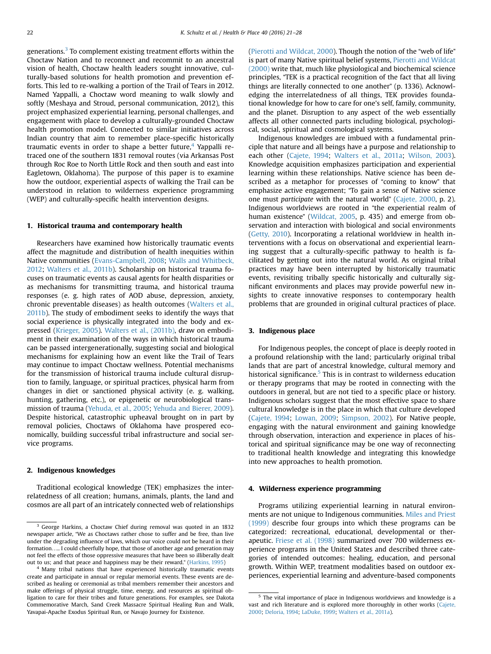generations.<sup>3</sup> To complement existing treatment efforts within the Choctaw Nation and to reconnect and recommit to an ancestral vision of health, Choctaw health leaders sought innovative, culturally-based solutions for health promotion and prevention efforts. This led to re-walking a portion of the Trail of Tears in 2012. Named Yappalli, a Choctaw word meaning to walk slowly and softly (Meshaya and Stroud, personal communication, 2012), this project emphasized experiential learning, personal challenges, and engagement with place to develop a culturally-grounded Choctaw health promotion model. Connected to similar initiatives across Indian country that aim to remember place-specific historically traumatic events in order to shape a better future, $4$  Yappalli retraced one of the southern 1831 removal routes (via Arkansas Post through Roc Roe to North Little Rock and then south and east into Eagletown, Oklahoma). The purpose of this paper is to examine how the outdoor, experiential aspects of walking the Trail can be understood in relation to wilderness experience programming (WEP) and culturally-specific health intervention designs.

## 1. Historical trauma and contemporary health

Researchers have examined how historically traumatic events affect the magnitude and distribution of health inequities within Native communities ([Evans-Campbell, 2008](#page-7-0); [Walls and Whitbeck,](#page-7-0) [2012](#page-7-0); [Walters et al., 2011b](#page-7-0)). Scholarship on historical trauma focuses on traumatic events as causal agents for health disparities or as mechanisms for transmitting trauma, and historical trauma responses (e. g. high rates of AOD abuse, depression, anxiety, chronic preventable diseases) as health outcomes [\(Walters et al.,](#page-7-0) [2011b](#page-7-0)). The study of embodiment seeks to identify the ways that social experience is physically integrated into the body and expressed ([Krieger, 2005](#page-7-0)). [Walters et al., \(2011b\),](#page-7-0) draw on embodiment in their examination of the ways in which historical trauma can be passed intergenerationally, suggesting social and biological mechanisms for explaining how an event like the Trail of Tears may continue to impact Choctaw wellness. Potential mechanisms for the transmission of historical trauma include cultural disruption to family, language, or spiritual practices, physical harm from changes in diet or sanctioned physical activity (e. g. walking, hunting, gathering, etc.), or epigenetic or neurobiological transmission of trauma ([Yehuda, et al., 2005](#page-7-0); [Yehuda and Bierer, 2009\)](#page-7-0). Despite historical, catastrophic upheaval brought on in part by removal policies, Choctaws of Oklahoma have prospered economically, building successful tribal infrastructure and social service programs.

#### 2. Indigenous knowledges

Traditional ecological knowledge (TEK) emphasizes the interrelatedness of all creation; humans, animals, plants, the land and cosmos are all part of an intricately connected web of relationships ([Pierotti and Wildcat, 2000](#page-7-0)). Though the notion of the "web of life" is part of many Native spiritual belief systems, [Pierotti and Wildcat](#page-7-0) [\(2000\)](#page-7-0) write that, much like physiological and biochemical science principles, "TEK is a practical recognition of the fact that all living things are literally connected to one another" (p. 1336). Acknowledging the interrelatedness of all things, TEK provides foundational knowledge for how to care for one's self, family, community, and the planet. Disruption to any aspect of the web essentially affects all other connected parts including biological, psychological, social, spiritual and cosmological systems.

Indigenous knowledges are imbued with a fundamental principle that nature and all beings have a purpose and relationship to each other [\(Cajete, 1994](#page-7-0); [Walters et al., 2011a](#page-7-0); [Wilson, 2003\)](#page-7-0). Knowledge acquisition emphasizes participation and experiential learning within these relationships. Native science has been described as a metaphor for processes of "coming to know" that emphasize active engagement; "To gain a sense of Native science one must participate with the natural world" ([Cajete, 2000](#page-7-0), p. 2). Indigenous worldviews are rooted in "the experiential realm of human existence" ([Wildcat, 2005](#page-7-0), p. 435) and emerge from observation and interaction with biological and social environments ([Getty, 2010\)](#page-7-0). Incorporating a relational worldview in health interventions with a focus on observational and experiential learning suggest that a culturally-specific pathway to health is facilitated by getting out into the natural world. As original tribal practices may have been interrupted by historically traumatic events, revisiting tribally specific historically and culturally significant environments and places may provide powerful new insights to create innovative responses to contemporary health problems that are grounded in original cultural practices of place.

# 3. Indigenous place

For Indigenous peoples, the concept of place is deeply rooted in a profound relationship with the land; particularly original tribal lands that are part of ancestral knowledge, cultural memory and historical significance.<sup>5</sup> This is in contrast to wilderness education or therapy programs that may be rooted in connecting with the outdoors in general, but are not tied to a specific place or history. Indigenous scholars suggest that the most effective space to share cultural knowledge is in the place in which that culture developed ([Cajete, 1994](#page-7-0); [Lowan, 2009;](#page-7-0) [Simpson, 2002](#page-7-0)). For Native people, engaging with the natural environment and gaining knowledge through observation, interaction and experience in places of historical and spiritual significance may be one way of reconnecting to traditional health knowledge and integrating this knowledge into new approaches to health promotion.

#### 4. Wilderness experience programming

Programs utilizing experiential learning in natural environments are not unique to Indigenous communities. [Miles and Priest](#page-7-0) [\(1999\)](#page-7-0) describe four groups into which these programs can be categorized: recreational, educational, developmental or therapeutic. [Friese et al. \(1998\)](#page-7-0) summarized over 700 wilderness experience programs in the United States and described three categories of intended outcomes: healing, education, and personal growth. Within WEP, treatment modalities based on outdoor experiences, experiential learning and adventure-based components

<sup>3</sup> George Harkins, a Choctaw Chief during removal was quoted in an 1832 newspaper article, "We as Choctaws rather chose to suffer and be free, than live under the degrading influence of laws, which our voice could not be heard in their formation….. I could cheerfully hope, that those of another age and generation may not feel the effects of those oppressive measures that have been so illiberally dealt out to us; and that peace and happiness may be their reward." ([Harkins, 1995](#page-7-0))

<sup>4</sup> Many tribal nations that have experienced historically traumatic events create and participate in annual or regular memorial events. These events are described as healing or ceremonial as tribal members remember their ancestors and make offerings of physical struggle, time, energy, and resources as spiritual obligation to care for their tribes and future generations. For examples, see Dakota Commemorative March, Sand Creek Massacre Spiritual Healing Run and Walk, Yavapai-Apache Exodus Spiritual Run, or Navajo Journey for Existence.

<sup>5</sup> The vital importance of place in Indigenous worldviews and knowledge is a vast and rich literature and is explored more thoroughly in other works ([Cajete,](#page-7-0) [2000](#page-7-0); [Deloria, 1994;](#page-7-0) [LaDuke, 1999;](#page-7-0) [Walters et al., 2011a](#page-7-0)).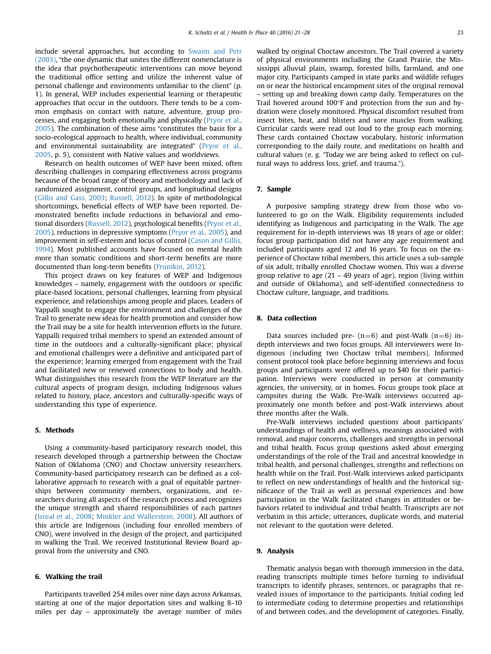include several approaches, but according to [Swaim and Petr](#page-7-0) [\(2003\),](#page-7-0) "the one dynamic that unites the different nomenclature is the idea that psychotherapeutic interventions can move beyond the traditional office setting and utilize the inherent value of personal challenge and environments unfamiliar to the client" (p. 1). In general, WEP includes experiential learning or therapeutic approaches that occur in the outdoors. There tends to be a common emphasis on contact with nature, adventure, group processes, and engaging both emotionally and physically ([Pryor et al.,](#page-7-0) [2005\)](#page-7-0). The combination of these aims "constitutes the basis for a socio-ecological approach to health, where individual, community and environmental sustainability are integrated" [\(Pryor et al.,](#page-7-0) [2005,](#page-7-0) p. 5), consistent with Native values and worldviews.

Research on health outcomes of WEP have been mixed, often describing challenges in comparing effectiveness across programs because of the broad range of theory and methodology and lack of randomized assignment, control groups, and longitudinal designs ([Gillis and Gass, 2003](#page-7-0); [Russell, 2012](#page-7-0)). In spite of methodological shortcomings, beneficial effects of WEP have been reported. Demonstrated benefits include reductions in behavioral and emotional disorders ([Russell, 2012\)](#page-7-0), psychological benefits [\(Pryor et al.,](#page-7-0) [2005\)](#page-7-0), reductions in depressive symptoms [\(Pryor et al., 2005](#page-7-0)), and improvement in self-esteem and locus of control ([Cason and Gillis,](#page-7-0) [1994](#page-7-0)). Most published accounts have focused on mental health more than somatic conditions and short-term benefits are more documented than long-term benefits ([Frumkin, 2012\)](#page-7-0).

This project draws on key features of WEP and Indigenous knowledges – namely, engagement with the outdoors or specific place-based locations, personal challenges, learning from physical experience, and relationships among people and places. Leaders of Yappalli sought to engage the environment and challenges of the Trail to generate new ideas for health promotion and consider how the Trail may be a site for health intervention efforts in the future. Yappalli required tribal members to spend an extended amount of time in the outdoors and a culturally-significant place; physical and emotional challenges were a definitive and anticipated part of the experience; learning emerged from engagement with the Trail and facilitated new or renewed connections to body and health. What distinguishes this research from the WEP literature are the cultural aspects of program design, including Indigenous values related to history, place, ancestors and culturally-specific ways of understanding this type of experience.

### 5. Methods

Using a community-based participatory research model, this research developed through a partnership between the Choctaw Nation of Oklahoma (CNO) and Choctaw university researchers. Community-based participatory research can be defined as a collaborative approach to research with a goal of equitable partnerships between community members, organizations, and researchers during all aspects of the research process and recognizes the unique strength and shared responsibilities of each partner ([Isreal et al., 2008](#page-7-0); [Minkler and Wallerstein, 2008\)](#page-7-0). All authors of this article are Indigenous (including four enrolled members of CNO), were involved in the design of the project, and participated in walking the Trail. We received Institutional Review Board approval from the university and CNO.

#### 6. Walking the trail

Participants travelled 254 miles over nine days across Arkansas, starting at one of the major deportation sites and walking 8–10 miles per day – approximately the average number of miles walked by original Choctaw ancestors. The Trail covered a variety of physical environments including the Grand Prairie, the Mississippi alluvial plain, swamp, forested hills, farmland, and one major city. Participants camped in state parks and wildlife refuges on or near the historical encampment sites of the original removal – setting up and breaking down camp daily. Temperatures on the Trail hovered around 100°F and protection from the sun and hydration were closely monitored. Physical discomfort resulted from insect bites, heat, and blisters and sore muscles from walking. Curricular cards were read out loud to the group each morning. These cards contained Choctaw vocabulary, historic information corresponding to the daily route, and meditations on health and cultural values (e. g. "Today we are being asked to reflect on cultural ways to address loss, grief, and trauma.").

#### 7. Sample

A purposive sampling strategy drew from those who volunteered to go on the Walk. Eligibility requirements included identifying as Indigenous and participating in the Walk. The age requirement for in-depth interviews was 18 years of age or older; focus group participation did not have any age requirement and included participants aged 12 and 16 years. To focus on the experience of Choctaw tribal members, this article uses a sub-sample of six adult, tribally enrolled Choctaw women. This was a diverse group relative to age (21 – 49 years of age), region (living within and outside of Oklahoma), and self-identified connectedness to Choctaw culture, language, and traditions.

# 8. Data collection

Data sources included pre-  $(n=6)$  and post-Walk  $(n=6)$  indepth interviews and two focus groups. All interviewers were Indigenous (including two Choctaw tribal members). Informed consent protocol took place before beginning interviews and focus groups and participants were offered up to \$40 for their participation. Interviews were conducted in person at community agencies, the university, or in homes. Focus groups took place at campsites during the Walk. Pre-Walk interviews occurred approximately one month before and post-Walk interviews about three months after the Walk.

Pre-Walk interviews included questions about participants' understandings of health and wellness, meanings associated with removal, and major concerns, challenges and strengths in personal and tribal health. Focus group questions asked about emerging understandings of the role of the Trail and ancestral knowledge in tribal health, and personal challenges, strengths and reflections on health while on the Trail. Post-Walk interviews asked participants to reflect on new understandings of health and the historical significance of the Trail as well as personal experiences and how participation in the Walk facilitated changes in attitudes or behaviors related to individual and tribal health. Transcripts are not verbatim in this article; utterances, duplicate words, and material not relevant to the quotation were deleted.

### 9. Analysis

Thematic analysis began with thorough immersion in the data, reading transcripts multiple times before turning to individual transcripts to identify phrases, sentences, or paragraphs that revealed issues of importance to the participants. Initial coding led to intermediate coding to determine properties and relationships of and between codes, and the development of categories. Finally,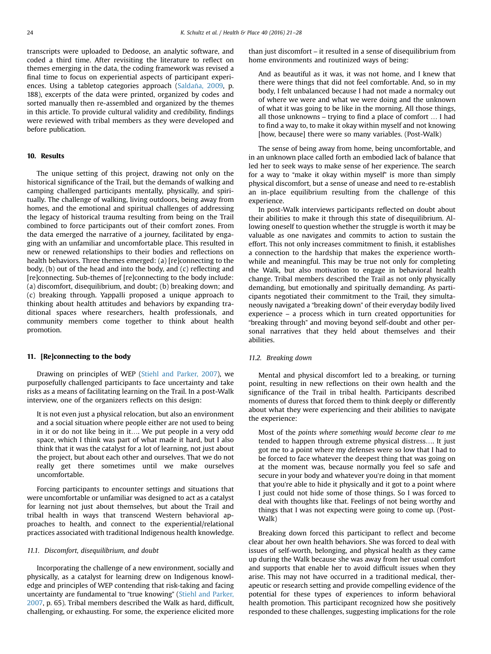transcripts were uploaded to Dedoose, an analytic software, and coded a third time. After revisiting the literature to reflect on themes emerging in the data, the coding framework was revised a final time to focus on experiential aspects of participant experiences. Using a tabletop categories approach (Saldañ[a, 2009,](#page-7-0) p. 188), excerpts of the data were printed, organized by codes and sorted manually then re-assembled and organized by the themes in this article. To provide cultural validity and credibility, findings were reviewed with tribal members as they were developed and before publication.

### 10. Results

The unique setting of this project, drawing not only on the historical significance of the Trail, but the demands of walking and camping challenged participants mentally, physically, and spiritually. The challenge of walking, living outdoors, being away from homes, and the emotional and spiritual challenges of addressing the legacy of historical trauma resulting from being on the Trail combined to force participants out of their comfort zones. From the data emerged the narrative of a journey, facilitated by engaging with an unfamiliar and uncomfortable place. This resulted in new or renewed relationships to their bodies and reflections on health behaviors. Three themes emerged: (a) [re]connecting to the body, (b) out of the head and into the body, and (c) reflecting and [re]connecting. Sub-themes of [re]connecting to the body include: (a) discomfort, disequilibrium, and doubt; (b) breaking down; and (c) breaking through. Yappalli proposed a unique approach to thinking about health attitudes and behaviors by expanding traditional spaces where researchers, health professionals, and community members come together to think about health promotion.

## 11. [Re]connecting to the body

Drawing on principles of WEP [\(Stiehl and Parker, 2007\)](#page-7-0), we purposefully challenged participants to face uncertainty and take risks as a means of facilitating learning on the Trail. In a post-Walk interview, one of the organizers reflects on this design:

It is not even just a physical relocation, but also an environment and a social situation where people either are not used to being in it or do not like being in it…. We put people in a very odd space, which I think was part of what made it hard, but I also think that it was the catalyst for a lot of learning, not just about the project, but about each other and ourselves. That we do not really get there sometimes until we make ourselves uncomfortable.

Forcing participants to encounter settings and situations that were uncomfortable or unfamiliar was designed to act as a catalyst for learning not just about themselves, but about the Trail and tribal health in ways that transcend Western behavioral approaches to health, and connect to the experiential/relational practices associated with traditional Indigenous health knowledge.

#### 11.1. Discomfort, disequilibrium, and doubt

Incorporating the challenge of a new environment, socially and physically, as a catalyst for learning drew on Indigenous knowledge and principles of WEP contending that risk-taking and facing uncertainty are fundamental to "true knowing" [\(Stiehl and Parker,](#page-7-0) [2007,](#page-7-0) p. 65). Tribal members described the Walk as hard, difficult, challenging, or exhausting. For some, the experience elicited more than just discomfort – it resulted in a sense of disequilibrium from home environments and routinized ways of being:

And as beautiful as it was, it was not home, and I knew that there were things that did not feel comfortable. And, so in my body, I felt unbalanced because I had not made a normalcy out of where we were and what we were doing and the unknown of what it was going to be like in the morning. All those things, all those unknowns – trying to find a place of comfort … I had to find a way to, to make it okay within myself and not knowing [how, because] there were so many variables. (Post-Walk)

The sense of being away from home, being uncomfortable, and in an unknown place called forth an embodied lack of balance that led her to seek ways to make sense of her experience. The search for a way to "make it okay within myself" is more than simply physical discomfort, but a sense of unease and need to re-establish an in-place equilibrium resulting from the challenge of this experience.

In post-Walk interviews participants reflected on doubt about their abilities to make it through this state of disequilibrium. Allowing oneself to question whether the struggle is worth it may be valuable as one navigates and commits to action to sustain the effort. This not only increases commitment to finish, it establishes a connection to the hardship that makes the experience worthwhile and meaningful. This may be true not only for completing the Walk, but also motivation to engage in behavioral health change. Tribal members described the Trail as not only physically demanding, but emotionally and spiritually demanding. As participants negotiated their commitment to the Trail, they simultaneously navigated a "breaking down" of their everyday bodily lived experience – a process which in turn created opportunities for "breaking through" and moving beyond self-doubt and other personal narratives that they held about themselves and their abilities.

#### 11.2. Breaking down

Mental and physical discomfort led to a breaking, or turning point, resulting in new reflections on their own health and the significance of the Trail in tribal health. Participants described moments of duress that forced them to think deeply or differently about what they were experiencing and their abilities to navigate the experience:

Most of the points where something would become clear to me tended to happen through extreme physical distress…. It just got me to a point where my defenses were so low that I had to be forced to face whatever the deepest thing that was going on at the moment was, because normally you feel so safe and secure in your body and whatever you're doing in that moment that you're able to hide it physically and it got to a point where I just could not hide some of those things. So I was forced to deal with thoughts like that. Feelings of not being worthy and things that I was not expecting were going to come up. (Post-Walk)

Breaking down forced this participant to reflect and become clear about her own health behaviors. She was forced to deal with issues of self-worth, belonging, and physical health as they came up during the Walk because she was away from her usual comfort and supports that enable her to avoid difficult issues when they arise. This may not have occurred in a traditional medical, therapeutic or research setting and provide compelling evidence of the potential for these types of experiences to inform behavioral health promotion. This participant recognized how she positively responded to these challenges, suggesting implications for the role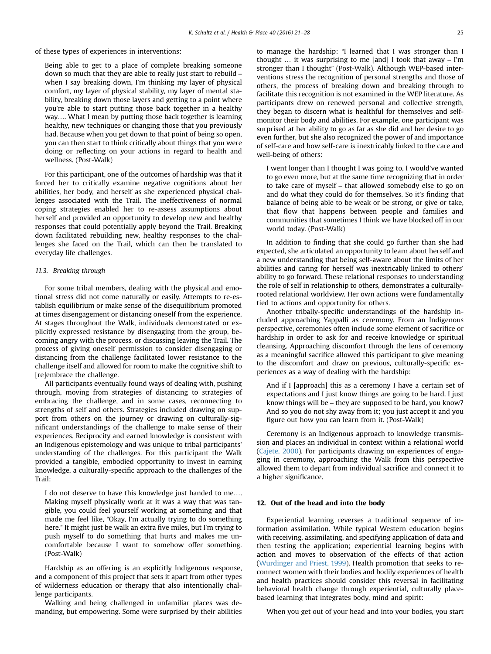of these types of experiences in interventions:

Being able to get to a place of complete breaking someone down so much that they are able to really just start to rebuild – when I say breaking down, I'm thinking my layer of physical comfort, my layer of physical stability, my layer of mental stability, breaking down those layers and getting to a point where you're able to start putting those back together in a healthy way…. What I mean by putting those back together is learning healthy, new techniques or changing those that you previously had. Because when you get down to that point of being so open, you can then start to think critically about things that you were doing or reflecting on your actions in regard to health and wellness. (Post-Walk)

For this participant, one of the outcomes of hardship was that it forced her to critically examine negative cognitions about her abilities, her body, and herself as she experienced physical challenges associated with the Trail. The ineffectiveness of normal coping strategies enabled her to re-assess assumptions about herself and provided an opportunity to develop new and healthy responses that could potentially apply beyond the Trail. Breaking down facilitated rebuilding new, healthy responses to the challenges she faced on the Trail, which can then be translated to everyday life challenges.

### 11.3. Breaking through

For some tribal members, dealing with the physical and emotional stress did not come naturally or easily. Attempts to re-establish equilibrium or make sense of the disequilibrium promoted at times disengagement or distancing oneself from the experience. At stages throughout the Walk, individuals demonstrated or explicitly expressed resistance by disengaging from the group, becoming angry with the process, or discussing leaving the Trail. The process of giving oneself permission to consider disengaging or distancing from the challenge facilitated lower resistance to the challenge itself and allowed for room to make the cognitive shift to [re]embrace the challenge.

All participants eventually found ways of dealing with, pushing through, moving from strategies of distancing to strategies of embracing the challenge, and in some cases, reconnecting to strengths of self and others. Strategies included drawing on support from others on the journey or drawing on culturally-significant understandings of the challenge to make sense of their experiences. Reciprocity and earned knowledge is consistent with an Indigenous epistemology and was unique to tribal participants' understanding of the challenges. For this participant the Walk provided a tangible, embodied opportunity to invest in earning knowledge, a culturally-specific approach to the challenges of the Trail:

I do not deserve to have this knowledge just handed to me…. Making myself physically work at it was a way that was tangible, you could feel yourself working at something and that made me feel like, "Okay, I'm actually trying to do something here." It might just be walk an extra five miles, but I'm trying to push myself to do something that hurts and makes me uncomfortable because I want to somehow offer something. (Post-Walk)

Hardship as an offering is an explicitly Indigenous response, and a component of this project that sets it apart from other types of wilderness education or therapy that also intentionally challenge participants.

Walking and being challenged in unfamiliar places was demanding, but empowering. Some were surprised by their abilities to manage the hardship: "I learned that I was stronger than I thought  $\ldots$  it was surprising to me [and] I took that away – I'm stronger than I thought" (Post-Walk). Although WEP-based interventions stress the recognition of personal strengths and those of others, the process of breaking down and breaking through to facilitate this recognition is not examined in the WEP literature. As participants drew on renewed personal and collective strength, they began to discern what is healthful for themselves and selfmonitor their body and abilities. For example, one participant was surprised at her ability to go as far as she did and her desire to go even further, but she also recognized the power of and importance of self-care and how self-care is inextricably linked to the care and well-being of others:

I went longer than I thought I was going to, I would've wanted to go even more, but at the same time recognizing that in order to take care of myself – that allowed somebody else to go on and do what they could do for themselves. So it's finding that balance of being able to be weak or be strong, or give or take, that flow that happens between people and families and communities that sometimes I think we have blocked off in our world today. (Post-Walk)

In addition to finding that she could go further than she had expected, she articulated an opportunity to learn about herself and a new understanding that being self-aware about the limits of her abilities and caring for herself was inextricably linked to others' ability to go forward. These relational responses to understanding the role of self in relationship to others, demonstrates a culturallyrooted relational worldview. Her own actions were fundamentally tied to actions and opportunity for others.

Another tribally-specific understandings of the hardship included approaching Yappalli as ceremony. From an Indigenous perspective, ceremonies often include some element of sacrifice or hardship in order to ask for and receive knowledge or spiritual cleansing. Approaching discomfort through the lens of ceremony as a meaningful sacrifice allowed this participant to give meaning to the discomfort and draw on previous, culturally-specific experiences as a way of dealing with the hardship:

And if I [approach] this as a ceremony I have a certain set of expectations and I just know things are going to be hard. I just know things will be – they are supposed to be hard, you know? And so you do not shy away from it; you just accept it and you figure out how you can learn from it. (Post-Walk)

Ceremony is an Indigenous approach to knowledge transmission and places an individual in context within a relational world ([Cajete, 2000](#page-7-0)). For participants drawing on experiences of engaging in ceremony, approaching the Walk from this perspective allowed them to depart from individual sacrifice and connect it to a higher significance.

#### 12. Out of the head and into the body

Experiential learning reverses a traditional sequence of information assimilation. While typical Western education begins with receiving, assimilating, and specifying application of data and then testing the application; experiential learning begins with action and moves to observation of the effects of that action ([Wurdinger and Priest, 1999\)](#page-7-0). Health promotion that seeks to reconnect women with their bodies and bodily experiences of health and health practices should consider this reversal in facilitating behavioral health change through experiential, culturally placebased learning that integrates body, mind and spirit:

When you get out of your head and into your bodies, you start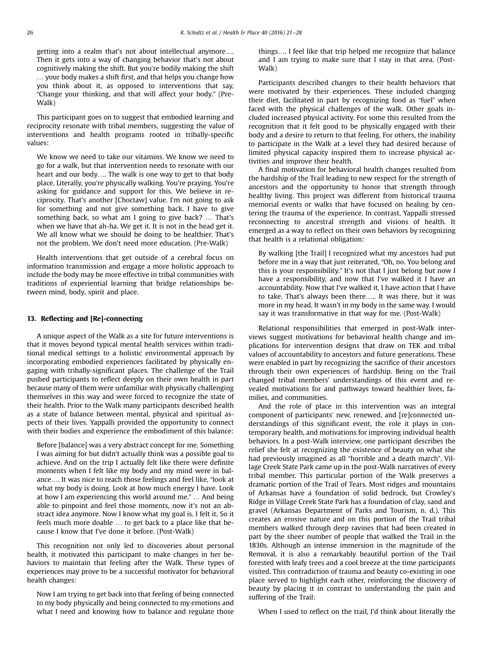getting into a realm that's not about intellectual anymore…. Then it gets into a way of changing behavior that's not about cognitively making the shift. But you're bodily making the shift … your body makes a shift first, and that helps you change how you think about it, as opposed to interventions that say, "Change your thinking, and that will affect your body." (Pre-Walk)

This participant goes on to suggest that embodied learning and reciprocity resonate with tribal members, suggesting the value of interventions and health programs rooted in tribally-specific values:

We know we need to take our vitamins. We know we need to go for a walk, but that intervention needs to resonate with our heart and our body…. The walk is one way to get to that body place. Literally, you're physically walking. You're praying. You're asking for guidance and support for this. We believe in reciprocity. That's another [Choctaw] value. I'm not going to ask for something and not give something back. I have to give something back, so what am I going to give back? … That's when we have that ah-ha. We get it. It is not in the head get it. We all know what we should be doing to be healthier. That's not the problem. We don't need more education. (Pre-Walk)

Health interventions that get outside of a cerebral focus on information transmission and engage a more holistic approach to include the body may be more effective in tribal communities with traditions of experiential learning that bridge relationships between mind, body, spirit and place.

# 13. Reflecting and [Re]-connecting

A unique aspect of the Walk as a site for future interventions is that it moves beyond typical mental health services within traditional medical settings to a holistic environmental approach by incorporating embodied experiences facilitated by physically engaging with tribally-significant places. The challenge of the Trail pushed participants to reflect deeply on their own health in part because many of them were unfamiliar with physically challenging themselves in this way and were forced to recognize the state of their health. Prior to the Walk many participants described health as a state of balance between mental, physical and spiritual aspects of their lives. Yappalli provided the opportunity to connect with their bodies and experience the embodiment of this balance:

Before [balance] was a very abstract concept for me. Something I was aiming for but didn't actually think was a possible goal to achieve. And on the trip I actually felt like there were definite moments when I felt like my body and my mind were in balance…. It was nice to reach those feelings and feel like, "look at what my body is doing. Look at how much energy I have. Look at how I am experiencing this world around me." … And being able to pinpoint and feel those moments, now it's not an abstract idea anymore. Now I know what my goal is. I felt it. So it feels much more doable … to get back to a place like that because I know that I've done it before. (Post-Walk)

This recognition not only led to discoveries about personal health, it motivated this participant to make changes in her behaviors to maintain that feeling after the Walk. These types of experiences may prove to be a successful motivator for behavioral health changes:

Now I am trying to get back into that feeling of being connected to my body physically and being connected to my emotions and what I need and knowing how to balance and regulate those

things…. I feel like that trip helped me recognize that balance and I am trying to make sure that I stay in that area. (Post-Walk)

Participants described changes to their health behaviors that were motivated by their experiences. These included changing their diet, facilitated in part by recognizing food as "fuel" when faced with the physical challenges of the walk. Other goals included increased physical activity. For some this resulted from the recognition that it felt good to be physically engaged with their body and a desire to return to that feeling. For others, the inability to participate in the Walk at a level they had desired because of limited physical capacity inspired them to increase physical activities and improve their health.

A final motivation for behavioral health changes resulted from the hardship of the Trail leading to new respect for the strength of ancestors and the opportunity to honor that strength through healthy living. This project was different from historical trauma memorial events or walks that have focused on healing by centering the trauma of the experience. In contrast, Yappalli stressed reconnecting to ancestral strength and visions of health. It emerged as a way to reflect on their own behaviors by recognizing that health is a relational obligation:

By walking [the Trail] I recognized what my ancestors had put before me in a way that just reiterated, "Oh, no. You belong and this is your responsibility." It's not that I just belong but now I have a responsibility, and now that I've walked it I have an accountability. Now that I've walked it, I have action that I have to take. That's always been there….. It was there, but it was more in my head. It wasn't in my body in the same way. I would say it was transformative in that way for me. (Post-Walk)

Relational responsibilities that emerged in post-Walk interviews suggest motivations for behavioral health change and implications for intervention designs that draw on TEK and tribal values of accountability to ancestors and future generations. These were enabled in part by recognizing the sacrifice of their ancestors through their own experiences of hardship. Being on the Trail changed tribal members' understandings of this event and revealed motivations for and pathways toward healthier lives, families, and communities.

And the role of place in this intervention was an integral component of participants' new, renewed, and [re]connected understandings of this significant event, the role it plays in contemporary health, and motivations for improving individual health behaviors. In a post-Walk interview, one participant describes the relief she felt at recognizing the existence of beauty on what she had previously imagined as all "horrible and a death march". Village Creek State Park came up in the post-Walk narratives of every tribal member. This particular portion of the Walk preserves a dramatic portion of the Trail of Tears. Most ridges and mountains of Arkansas have a foundation of solid bedrock, but Crowley's Ridge in Village Creek State Park has a foundation of clay, sand and gravel (Arkansas Department of Parks and Tourism, n. d.). This creates an erosive nature and on this portion of the Trail tribal members walked through deep ravines that had been created in part by the sheer number of people that walked the Trail in the 1830s. Although an intense immersion in the magnitude of the Removal, it is also a remarkably beautiful portion of the Trail forested with leafy trees and a cool breeze at the time participants visited. This contradiction of trauma and beauty co-existing in one place served to highlight each other, reinforcing the discovery of beauty by placing it in contrast to understanding the pain and suffering of the Trail:

When I used to reflect on the trail, I'd think about literally the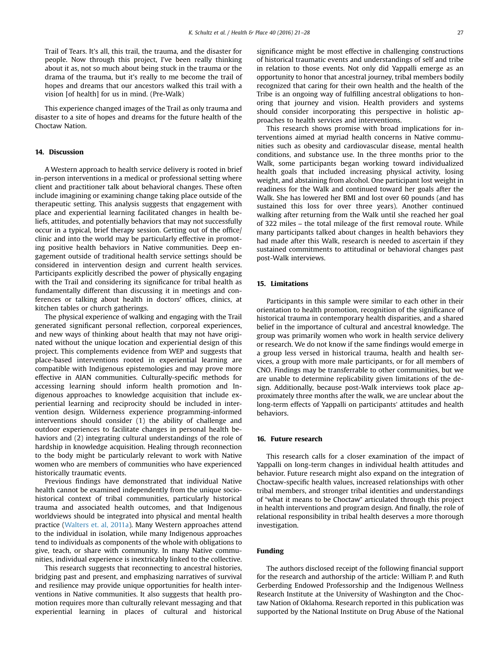Trail of Tears. It's all, this trail, the trauma, and the disaster for people. Now through this project, I've been really thinking about it as, not so much about being stuck in the trauma or the drama of the trauma, but it's really to me become the trail of hopes and dreams that our ancestors walked this trail with a vision [of health] for us in mind. (Pre-Walk)

This experience changed images of the Trail as only trauma and disaster to a site of hopes and dreams for the future health of the Choctaw Nation.

# 14. Discussion

A Western approach to health service delivery is rooted in brief in-person interventions in a medical or professional setting where client and practitioner talk about behavioral changes. These often include imagining or examining change taking place outside of the therapeutic setting. This analysis suggests that engagement with place and experiential learning facilitated changes in health beliefs, attitudes, and potentially behaviors that may not successfully occur in a typical, brief therapy session. Getting out of the office/ clinic and into the world may be particularly effective in promoting positive health behaviors in Native communities. Deep engagement outside of traditional health service settings should be considered in intervention design and current health services. Participants explicitly described the power of physically engaging with the Trail and considering its significance for tribal health as fundamentally different than discussing it in meetings and conferences or talking about health in doctors' offices, clinics, at kitchen tables or church gatherings.

The physical experience of walking and engaging with the Trail generated significant personal reflection, corporeal experiences, and new ways of thinking about health that may not have originated without the unique location and experiential design of this project. This complements evidence from WEP and suggests that place-based interventions rooted in experiential learning are compatible with Indigenous epistemologies and may prove more effective in AIAN communities. Culturally-specific methods for accessing learning should inform health promotion and Indigenous approaches to knowledge acquisition that include experiential learning and reciprocity should be included in intervention design. Wilderness experience programming-informed interventions should consider (1) the ability of challenge and outdoor experiences to facilitate changes in personal health behaviors and (2) integrating cultural understandings of the role of hardship in knowledge acquisition. Healing through reconnection to the body might be particularly relevant to work with Native women who are members of communities who have experienced historically traumatic events.

Previous findings have demonstrated that individual Native health cannot be examined independently from the unique sociohistorical context of tribal communities, particularly historical trauma and associated health outcomes, and that Indigenous worldviews should be integrated into physical and mental health practice [\(Walters et. al, 2011a](#page-7-0)). Many Western approaches attend to the individual in isolation, while many Indigenous approaches tend to individuals as components of the whole with obligations to give, teach, or share with community. In many Native communities, individual experience is inextricably linked to the collective.

This research suggests that reconnecting to ancestral histories, bridging past and present, and emphasizing narratives of survival and resilience may provide unique opportunities for health interventions in Native communities. It also suggests that health promotion requires more than culturally relevant messaging and that experiential learning in places of cultural and historical significance might be most effective in challenging constructions of historical traumatic events and understandings of self and tribe in relation to those events. Not only did Yappalli emerge as an opportunity to honor that ancestral journey, tribal members bodily recognized that caring for their own health and the health of the Tribe is an ongoing way of fulfilling ancestral obligations to honoring that journey and vision. Health providers and systems should consider incorporating this perspective in holistic approaches to health services and interventions.

This research shows promise with broad implications for interventions aimed at myriad health concerns in Native communities such as obesity and cardiovascular disease, mental health conditions, and substance use. In the three months prior to the Walk, some participants began working toward individualized health goals that included increasing physical activity, losing weight, and abstaining from alcohol. One participant lost weight in readiness for the Walk and continued toward her goals after the Walk. She has lowered her BMI and lost over 60 pounds (and has sustained this loss for over three years). Another continued walking after returning from the Walk until she reached her goal of 322 miles – the total mileage of the first removal route. While many participants talked about changes in health behaviors they had made after this Walk, research is needed to ascertain if they sustained commitments to attitudinal or behavioral changes past post-Walk interviews.

# 15. Limitations

Participants in this sample were similar to each other in their orientation to health promotion, recognition of the significance of historical trauma in contemporary health disparities, and a shared belief in the importance of cultural and ancestral knowledge. The group was primarily women who work in health service delivery or research. We do not know if the same findings would emerge in a group less versed in historical trauma, health and health services, a group with more male participants, or for all members of CNO. Findings may be transferrable to other communities, but we are unable to determine replicability given limitations of the design. Additionally, because post-Walk interviews took place approximately three months after the walk, we are unclear about the long-term effects of Yappalli on participants' attitudes and health behaviors.

# 16. Future research

This research calls for a closer examination of the impact of Yappalli on long-term changes in individual health attitudes and behavior. Future research might also expand on the integration of Choctaw-specific health values, increased relationships with other tribal members, and stronger tribal identities and understandings of "what it means to be Choctaw" articulated through this project in health interventions and program design. And finally, the role of relational responsibility in tribal health deserves a more thorough investigation.

# Funding

The authors disclosed receipt of the following financial support for the research and authorship of the article: William P. and Ruth Gerberding Endowed Professorship and the Indigenous Wellness Research Institute at the University of Washington and the Choctaw Nation of Oklahoma. Research reported in this publication was supported by the National Institute on Drug Abuse of the National